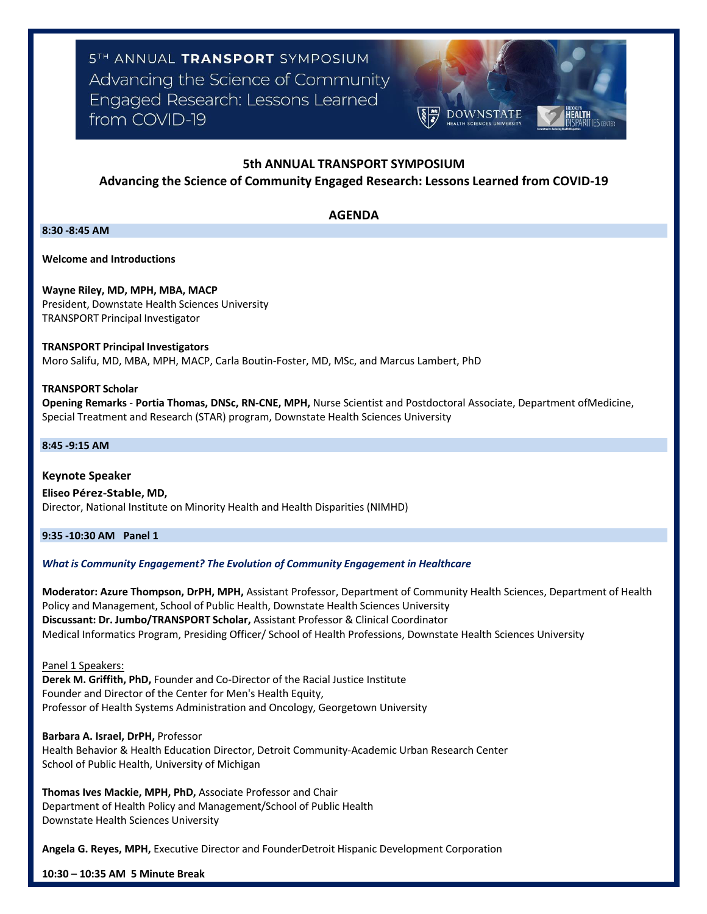5TH ANNUAL TRANSPORT SYMPOSIUM Advancing the Science of Community Engaged Research: Lessons Learned from COVID-19



# **5th ANNUAL TRANSPORT SYMPOSIUM**

# **Advancing the Science of Community Engaged Research: Lessons Learned from COVID-19**

# **AGENDA**

**8:30 -8:45 AM**

**Welcome and Introductions**

**Wayne Riley, MD, MPH, MBA, MACP** President, Downstate Health Sciences University TRANSPORT Principal Investigator

**TRANSPORT Principal Investigators** Moro Salifu, MD, MBA, MPH, MACP, Carla Boutin-Foster, MD, MSc, and Marcus Lambert, PhD

### **TRANSPORT Scholar**

**Opening Remarks** - **Portia Thomas, DNSc, RN-CNE, MPH,** Nurse Scientist and Postdoctoral Associate, Department ofMedicine, Special Treatment and Research (STAR) program, Downstate Health Sciences University

# **8:45 -9:15 AM**

**Keynote Speaker Eliseo Pérez-Stable, MD,**  Director, National Institute on Minority Health and Health Disparities (NIMHD)

**9:35 -10:30 AM Panel 1**

# *What is Community Engagement? The Evolution of Community Engagement in Healthcare*

**Moderator: Azure Thompson, DrPH, MPH,** Assistant Professor, Department of Community Health Sciences, Department of Health Policy and Management, School of Public Health, Downstate Health Sciences University **Discussant: Dr. Jumbo/TRANSPORT Scholar,** Assistant Professor & Clinical Coordinator Medical Informatics Program, Presiding Officer/ School of Health Professions, Downstate Health Sciences University

Panel 1 Speakers:

**Derek M. Griffith, PhD,** Founder and Co-Director of the Racial Justice Institute Founder and Director of the Center for Men's Health Equity, Professor of Health Systems Administration and Oncology, Georgetown University

**Barbara A. Israel, DrPH,** Professor

Health Behavior & Health Education Director, Detroit Community-Academic Urban Research Center School of Public Health, University of Michigan

**Thomas Ives Mackie, MPH, PhD,** Associate Professor and Chair Department of Health Policy and Management/School of Public Health Downstate Health Sciences University

**Angela G. Reyes, MPH,** Executive Director and FounderDetroit Hispanic Development Corporation

**10:30 – 10:35 AM 5 Minute Break**